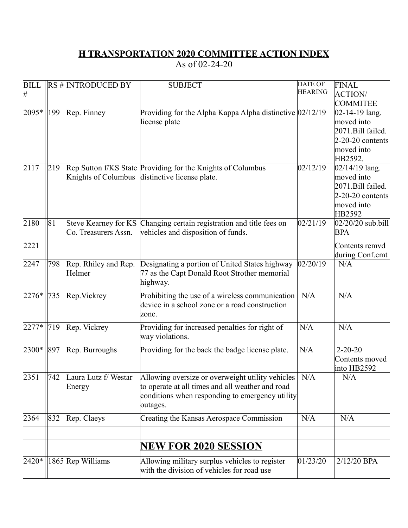## **H TRANSPORTATION 2020 COMMITTEE ACTION INDEX**

As of 02-24-20

| <b>BILL</b> |     | $RS \# \text{INTRODUCTION BY}$ | <b>SUBJECT</b>                                                       | <b>DATE OF</b> | FINAL                  |
|-------------|-----|--------------------------------|----------------------------------------------------------------------|----------------|------------------------|
| #           |     |                                |                                                                      | <b>HEARING</b> | <b>ACTION</b>          |
|             |     |                                |                                                                      |                | <b>COMMITEE</b>        |
| 2095*       | 199 | Rep. Finney                    | Providing for the Alpha Kappa Alpha distinctive $ 02/12/19 $         |                | $ 02 - 14 - 19 $ lang. |
|             |     |                                | license plate                                                        |                | moved into             |
|             |     |                                |                                                                      |                | 2071.Bill failed.      |
|             |     |                                |                                                                      |                | $2-20-20$ contents     |
|             |     |                                |                                                                      |                | moved into<br>HB2592.  |
| 2117        | 219 |                                | Rep Sutton f/KS State Providing for the Knights of Columbus          | 02/12/19       | $02/14/19$ lang.       |
|             |     |                                | Knights of Columbus distinctive license plate.                       |                | moved into             |
|             |     |                                |                                                                      |                | 2071.Bill failed.      |
|             |     |                                |                                                                      |                | $2-20-20$ contents     |
|             |     |                                |                                                                      |                | moved into             |
|             |     |                                |                                                                      |                | HB2592                 |
| 2180        | 81  |                                | Steve Kearney for KS Changing certain registration and title fees on | 02/21/19       | $02/20/20$ sub.bill    |
|             |     | Co. Treasurers Assn.           | vehicles and disposition of funds.                                   |                | <b>BPA</b>             |
| 2221        |     |                                |                                                                      |                | Contents remvd         |
|             |     |                                |                                                                      |                | during Conf.cmt        |
| 2247        | 798 | Rep. Rhiley and Rep.           | Designating a portion of United States highway                       | 02/20/19       | N/A                    |
|             |     | Helmer                         | 77 as the Capt Donald Root Strother memorial                         |                |                        |
|             |     |                                | highway.                                                             |                |                        |
| $2276*$     | 735 | Rep. Vickrey                   | Prohibiting the use of a wireless communication                      | N/A            | N/A                    |
|             |     |                                | device in a school zone or a road construction                       |                |                        |
|             |     |                                | zone.                                                                |                |                        |
|             |     |                                |                                                                      |                |                        |
| $2277*$     | 719 | Rep. Vickrey                   | Providing for increased penalties for right of                       | N/A            | N/A                    |
|             |     |                                | way violations.                                                      |                |                        |
| 2300*       | 897 | Rep. Burroughs                 | Providing for the back the badge license plate.                      | N/A            | $2 - 20 - 20$          |
|             |     |                                |                                                                      |                | Contents moved         |
|             |     |                                |                                                                      |                | into HB2592            |
| 2351        | 742 | Laura Lutz f/ Westar           | Allowing oversize or overweight utility vehicles   N/A               |                | N/A                    |
|             |     | Energy                         | to operate at all times and all weather and road                     |                |                        |
|             |     |                                | conditions when responding to emergency utility                      |                |                        |
|             |     |                                | outages.                                                             |                |                        |
| 2364        | 832 | Rep. Claeys                    | Creating the Kansas Aerospace Commission                             | N/A            | N/A                    |
|             |     |                                |                                                                      |                |                        |
|             |     |                                | <b>NEW FOR 2020 SESSION</b>                                          |                |                        |
|             |     |                                |                                                                      |                |                        |
| $ 2420*$    |     | 1865 Rep Williams              | Allowing military surplus vehicles to register                       | 01/23/20       | 2/12/20 BPA            |
|             |     |                                | with the division of vehicles for road use                           |                |                        |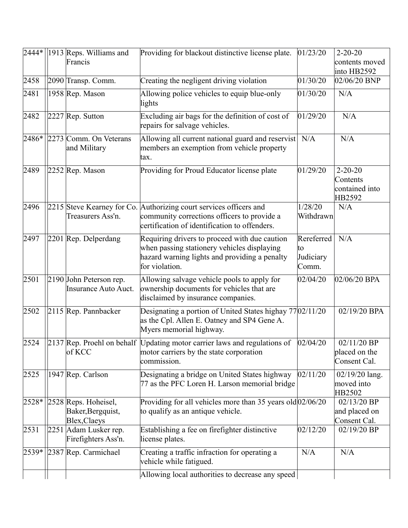|               | $ 2444* $ 1913 Reps. Williams and<br>Francis                                                              | Providing for blackout distinctive license plate.                                                                                                                      | 01/23/20                                | $2 - 20 - 20$<br>contents moved                             |
|---------------|-----------------------------------------------------------------------------------------------------------|------------------------------------------------------------------------------------------------------------------------------------------------------------------------|-----------------------------------------|-------------------------------------------------------------|
| 2458          | 2090 Transp. Comm.                                                                                        | Creating the negligent driving violation                                                                                                                               | 01/30/20                                | into HB2592<br>$02/06/20$ BNP                               |
| 2481          | 1958 Rep. Mason                                                                                           | Allowing police vehicles to equip blue-only<br>lights                                                                                                                  | 01/30/20                                | N/A                                                         |
| 2482          | $2227$ Rep. Sutton                                                                                        | Excluding air bags for the definition of cost of<br>repairs for salvage vehicles.                                                                                      | 01/29/20                                | N/A                                                         |
| 2486*         | 2273 Comm. On Veterans<br>and Military                                                                    | Allowing all current national guard and reservist<br>members an exemption from vehicle property<br>tax.                                                                | N/A                                     | N/A                                                         |
| 2489          | 2252 Rep. Mason                                                                                           | Providing for Proud Educator license plate                                                                                                                             | 01/29/20                                | $2 - 20 - 20$<br>Contents<br>contained into<br>HB2592       |
| 2496          | Treasurers Ass'n.                                                                                         | 2215 Steve Kearney for Co. Authorizing court services officers and<br>community corrections officers to provide a<br>certification of identification to offenders.     | 1/28/20<br>Withdrawn                    | N/A                                                         |
| 2497          | 2201 Rep. Delperdang                                                                                      | Requiring drivers to proceed with due caution<br>when passing stationery vehicles displaying<br>hazard warning lights and providing a penalty<br>for violation.        | Rereferred<br>∣to<br>Judiciary<br>Comm. | N/A                                                         |
| 2501          | 2190 John Peterson rep.<br>Insurance Auto Auct.                                                           | Allowing salvage vehicle pools to apply for<br>ownership documents for vehicles that are<br>disclaimed by insurance companies.                                         | 02/04/20                                | 02/06/20 BPA                                                |
| 2502          | 2115 Rep. Pannbacker                                                                                      | Designating a portion of United States highay 77 02/11/20<br>as the Cpl. Allen E. Oatney and SP4 Gene A.<br>Myers memorial highway.                                    |                                         | 02/19/20 BPA                                                |
| 2524          | of KCC                                                                                                    | 2137 Rep. Proehl on behalf Updating motor carrier laws and regulations of<br>motor carriers by the state corporation<br>commission.                                    | 02/04/20                                | 02/11/20 BP<br>placed on the<br>Consent Cal.                |
| 2525          | 1947 Rep. Carlson                                                                                         | Designating a bridge on United States highway<br>77 as the PFC Loren H. Larson memorial bridge                                                                         | 02/11/20                                | $02/19/20$ lang.<br>moved into<br>HB2502                    |
| 2528*<br>2531 | 2528 Reps. Hoheisel,<br>Baker, Bergquist,<br>Blex, Claeys<br>2251 Adam Lusker rep.<br>Firefighters Ass'n. | Providing for all vehicles more than 35 years old $ 02/06/20$<br>to qualify as an antique vehicle.<br>Establishing a fee on firefighter distinctive<br>license plates. | 02/12/20                                | 02/13/20 BP<br>and placed on<br>Consent Cal.<br>02/19/20 BP |
| 2539*         | 2387 Rep. Carmichael                                                                                      | Creating a traffic infraction for operating a<br>vehicle while fatigued.                                                                                               | N/A                                     | N/A                                                         |
|               |                                                                                                           | Allowing local authorities to decrease any speed                                                                                                                       |                                         |                                                             |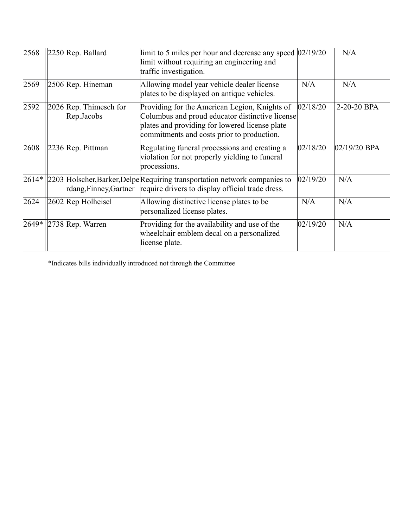| 2568    | $2250$ Rep. Ballard                    | limit to 5 miles per hour and decrease any speed $ 02/19/20 $<br>limit without requiring an engineering and<br>traffic investigation.                                                                          |          | N/A            |
|---------|----------------------------------------|----------------------------------------------------------------------------------------------------------------------------------------------------------------------------------------------------------------|----------|----------------|
| 2569    | 2506 Rep. Hineman                      | Allowing model year vehicle dealer license<br>plates to be displayed on antique vehicles.                                                                                                                      | N/A      | N/A            |
| 2592    | $2026$ Rep. Thimesch for<br>Rep.Jacobs | Providing for the American Legion, Knights of<br> 02/18/20 <br>Columbus and proud educator distinctive license<br>plates and providing for lowered license plate<br>commitments and costs prior to production. |          | 2-20-20 BPA    |
| 2608    | 2236 Rep. Pittman                      | Regulating funeral processions and creating a<br>violation for not properly yielding to funeral<br>processions.                                                                                                | 02/18/20 | $02/19/20$ BPA |
| $2614*$ |                                        | 2203 Holscher, Barker, Delpe Requiring transportation network companies to<br>rdang, Finney, Gartner require drivers to display official trade dress.                                                          | 02/19/20 | N/A            |
| 2624    | $2602$ Rep Holheisel                   | Allowing distinctive license plates to be<br>personalized license plates.                                                                                                                                      | N/A      | N/A            |
| 2649*   | $ 2738 $ Rep. Warren                   | Providing for the availability and use of the<br>wheelchair emblem decal on a personalized<br>license plate.                                                                                                   | 02/19/20 | N/A            |

\*Indicates bills individually introduced not through the Committee